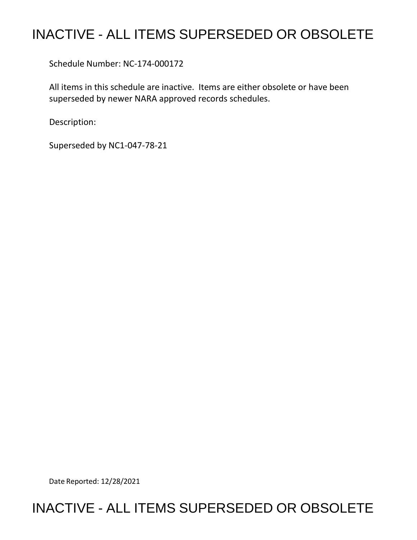# INACTIVE - ALL ITEMS SUPERSEDED OR OBSOLETE

Schedule Number: NC-174-000172

All items in this schedule are inactive. Items are either obsolete or have been superseded by newer NARA approved records schedules.

Description:

Superseded by NC1-047-78-21

Date Reported: 12/28/2021

# INACTIVE - ALL ITEMS SUPERSEDED OR OBSOLETE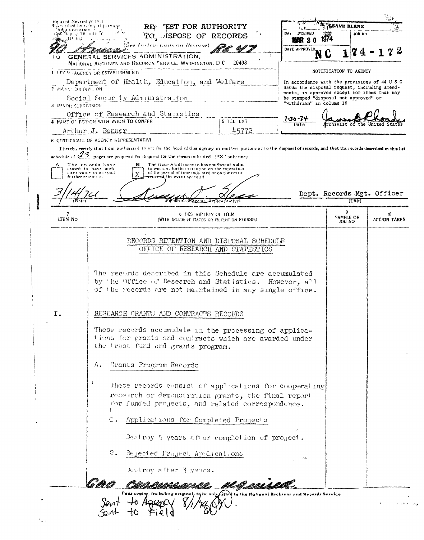| 70.                    | (See Instructions on Reverse).<br>GENERAL SERVICES ADMINISTRATION.<br>NATIONAL ARCHIVES AND RECORDS CERVICE. WASHINGTON, D.C.                                                                                                                                                | A.<br>20408                                                                 | DATE APPROVED<br>N                                                                            |                                       |                           |
|------------------------|------------------------------------------------------------------------------------------------------------------------------------------------------------------------------------------------------------------------------------------------------------------------------|-----------------------------------------------------------------------------|-----------------------------------------------------------------------------------------------|---------------------------------------|---------------------------|
|                        | 1. LEGM. (AGENCY OR ESTABLISHMENT)                                                                                                                                                                                                                                           |                                                                             |                                                                                               | NOTIFICATION TO AGENCY                |                           |
|                        | Department of Health, Education, and Welfare                                                                                                                                                                                                                                 |                                                                             | In accordance with the provisions of 44 U S C<br>3303a the disposal request, including amend- |                                       |                           |
| 2 MARY DUPPHYLION      | Social Security Administration                                                                                                                                                                                                                                               |                                                                             | ments, is approved except for items that may<br>be stamped "disposal not approved" or         |                                       |                           |
| 3 MPNOR SUBDIVISION    |                                                                                                                                                                                                                                                                              |                                                                             | "withdrawn" in column 10                                                                      |                                       |                           |
|                        | Office of Research and Statistics<br>4 NAME OF PERSON WITH WHOM TO CONFER                                                                                                                                                                                                    | 5 TEL EXT                                                                   | 7-38 – 74                                                                                     |                                       |                           |
|                        | Arthur J. Benner                                                                                                                                                                                                                                                             | 45772                                                                       | Date                                                                                          |                                       |                           |
|                        | 6 CERTIFICATE OF AGENCY REPRESENTATIVE                                                                                                                                                                                                                                       |                                                                             |                                                                                               |                                       |                           |
|                        | I hereby certify that I am authorized to act for the head of this agency in matters perturning to the disposal of records, and that the records described in this lat<br>achedule of $\mathscr{Z}^3$ pages are proposed for disposal for the reason indicated ("X" only one) |                                                                             |                                                                                               |                                       |                           |
| А<br>further retention | The records will cease to have sufficient value<br>The records have<br>в<br>to warrant further retention on the expiration<br>cessed to have suffi-<br>of the puried of time indicated or on the occur-<br>cient value to werrant<br>stylie event specified.                 |                                                                             |                                                                                               |                                       |                           |
|                        |                                                                                                                                                                                                                                                                              |                                                                             |                                                                                               | Dept. Records Mgt. Officer<br>(Title) |                           |
| 7<br><b>ITEM NO</b>    |                                                                                                                                                                                                                                                                              | <b>8 DESCRIPTION OF LEEM</b><br>(WITH INCLUSIVE DATES OR RETENTION PERIODS) |                                                                                               | 9<br>SAMPLE OR<br>JOB NO              | 10<br><b>ACTION TAKEN</b> |
|                        | RECORDS RETENTION AND DISPOSAL SCHEDULE                                                                                                                                                                                                                                      |                                                                             |                                                                                               |                                       |                           |
|                        | OFFICE OF RESEARCH AND STATISTICS                                                                                                                                                                                                                                            |                                                                             |                                                                                               |                                       |                           |
|                        | The records described in this Schedule are accumulated<br>by the Office of Research and Statistics. However, all<br>of the records are not maintained in any single office.                                                                                                  |                                                                             |                                                                                               |                                       |                           |
| Ι.                     | RESEARCH GRANTS AND CONTRACTS RECORDS                                                                                                                                                                                                                                        |                                                                             |                                                                                               |                                       |                           |
|                        | These records accumulate in the processing of applica-<br>tions for grants and contracts which are awarded under<br>the 'rust fund and grants program.                                                                                                                       |                                                                             |                                                                                               |                                       |                           |
|                        | Grants Program Records<br>Α.                                                                                                                                                                                                                                                 |                                                                             |                                                                                               |                                       |                           |
|                        | These records consist of applications for cooperating<br>research or demonstration grants, the final report<br>for funded projects, and related correspondence.                                                                                                              |                                                                             |                                                                                               |                                       |                           |
|                        | . 1<br>Applications for Completed Projects                                                                                                                                                                                                                                   |                                                                             |                                                                                               |                                       |                           |
|                        | Destroy 5 years after completion of project.                                                                                                                                                                                                                                 |                                                                             |                                                                                               |                                       |                           |
|                        |                                                                                                                                                                                                                                                                              |                                                                             |                                                                                               |                                       |                           |
|                        | 2.<br>Rejected Project Applications                                                                                                                                                                                                                                          |                                                                             |                                                                                               |                                       |                           |
|                        | Destroy after 3 years.                                                                                                                                                                                                                                                       |                                                                             |                                                                                               |                                       |                           |

 $\hat{\mathcal{L}}$  ,  $\hat{\mathcal{L}}$ 

 $\alpha_0$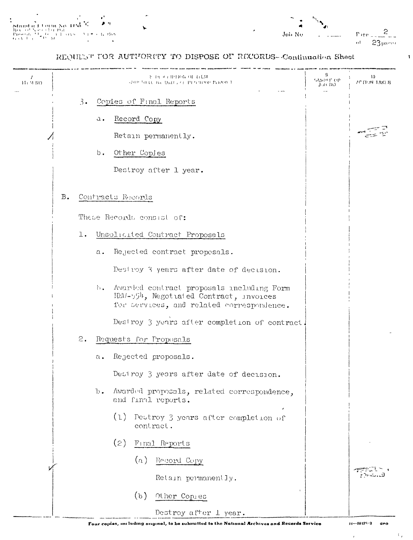$\mathbf{I}$ 

### REQUEST TOR AUTHORITY TO DISPOSE OF RECORDS--Continuation Sheet

| 11: 51 110 |           |    |               | 老 独 近于的事协议 可一行毛体<br>SOUR BILLE IVE DATES OF THIS TIME PLANCE I                                                                   | 9<br>SAMPLE OP<br>John NO | 10<br><b>PCTRIN TAKEN</b> |
|------------|-----------|----|---------------|----------------------------------------------------------------------------------------------------------------------------------|---------------------------|---------------------------|
|            |           | 3. |               | Copies of Final Reports                                                                                                          |                           |                           |
|            |           |    | a.            | Record Copy                                                                                                                      |                           |                           |
|            |           |    |               | Retain permanently.                                                                                                              |                           |                           |
|            |           |    | b.            | Other Copies                                                                                                                     |                           |                           |
|            |           |    |               | Destroy after 1 year.                                                                                                            |                           |                           |
|            | <b>B.</b> |    |               | Contracts Records                                                                                                                |                           |                           |
|            |           |    |               | These Records consist of:                                                                                                        |                           |                           |
|            |           | l. |               | Unsolicited Contract Proposals                                                                                                   |                           |                           |
|            |           |    | $a$ .         | Rejected contract proposals.                                                                                                     |                           |                           |
|            |           |    |               | Destroy 3 years after date of decision.                                                                                          |                           |                           |
|            |           |    | h.            | Avarded contract proposals including Form<br>HEM-554, Negotiated Contract, invoices<br>for services, and related correspondence. |                           |                           |
|            |           |    |               | Destroy 3 years after completion of contract.                                                                                    |                           |                           |
|            |           | 2. |               | Requests for Proposals                                                                                                           |                           |                           |
|            |           |    | а.            | Rejected proposals.                                                                                                              |                           |                           |
|            |           |    |               | Destroy 3 years after date of decision.                                                                                          |                           |                           |
|            |           |    | $\mathbf b$ . | Awarded proposals, related correspondence,<br>and final reports.                                                                 |                           |                           |
|            |           |    |               | (1)<br>Destroy 3 years after completion of<br>contract.                                                                          |                           |                           |
|            |           |    |               | (2)<br>Final Reports                                                                                                             |                           |                           |
|            |           |    |               | (a)<br>Record Copy                                                                                                               |                           |                           |
|            |           |    |               | Retain permanently.                                                                                                              |                           | r twu                     |
|            |           |    |               | (b)<br>Other Copies                                                                                                              |                           |                           |
|            |           |    |               | Destroy after 1 year.                                                                                                            |                           |                           |

 $\bar{I}$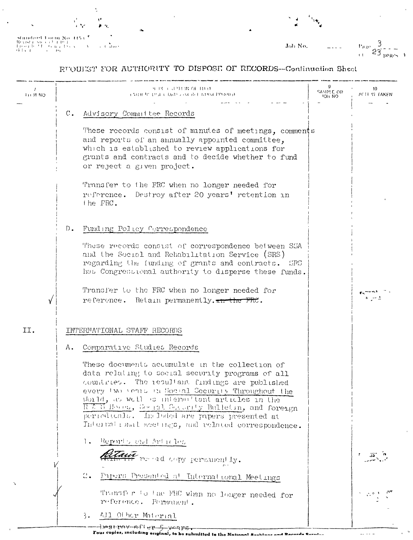$\begin{array}{l|l} \textbf{Standard Dom No} & \textbf{10} \\ \textbf{Besset} & \textbf{3}(\alpha, \alpha) \\ \textbf{fesset} & \textbf{1} \end{array} \begin{array}{l} \textbf{10} & \textbf{10} \\ \textbf{10} & \textbf{10} \\ \textbf{10} & \textbf{11} \\ \textbf{11} & \textbf{12} \\ \textbf{12} & \textbf{13} \\ \textbf{14} & \textbf{15} \\ \textbf{15} & \textbf{16} \\ \textbf{16} & \textbf{17} \\ \textbf{18} & \textbf{18} \\ \$  $\epsilon$  Came

Job No.

 $v_{a,0}$   $\frac{3}{23}$   $\frac{1}{20}$   $\frac{1}{20}$ 

 $\frac{1}{4}$  . <br> <br> As

# RUQUEST FOR AUTHORITY TO DISPOSI OF RECORDS-Confinuation Sheet

| <b>TH M NO</b> | 9 PC CAPION OF HILL<br><b>COURTY LPSEL DATES ON WELFITTEN PERIODS</b>                                                                                                                                                                                                                                                                                                                                                       | SAMPLE OR<br><b>OH NO</b> | 10<br>ACTEMI TAKEN |
|----------------|-----------------------------------------------------------------------------------------------------------------------------------------------------------------------------------------------------------------------------------------------------------------------------------------------------------------------------------------------------------------------------------------------------------------------------|---------------------------|--------------------|
|                | $\mathbb C$ .<br>Advisory Commuttee Records                                                                                                                                                                                                                                                                                                                                                                                 |                           |                    |
|                | These records consist of minutes of meetings, comments<br>and reports of an annually appointed committee,<br>which is established to review applications for<br>grants and contracts and to decide whether to fund<br>or reject a given project.                                                                                                                                                                            |                           |                    |
|                | Transfer to the FRC when no longer needed for<br>reference. Destroy after 20 years' retention in<br>the FRC.                                                                                                                                                                                                                                                                                                                |                           |                    |
|                | Funding Policy Correspondence<br>$D_{\bullet}$                                                                                                                                                                                                                                                                                                                                                                              |                           |                    |
|                | These records consist of correspondence between SSA<br>and the Social and Rehabilitation Service (SRS)<br>regarding the funding of grants and contracts. SPS<br>has Congressional authority to disperse these funds.                                                                                                                                                                                                        |                           |                    |
|                | Transfer to the FRC when no longer needed for<br>reference. Retain permanently. the the FRC.                                                                                                                                                                                                                                                                                                                                |                           |                    |
| II.            | INTERNATIONAL STAFF RECORDS                                                                                                                                                                                                                                                                                                                                                                                                 |                           |                    |
|                | Comparative Studies Records<br>Λ.                                                                                                                                                                                                                                                                                                                                                                                           |                           |                    |
|                | These documents accumulate in the collection of<br>data relating to social security programs of all<br>countries. The resultant findings are published<br>every two years in Social Security Throughout the<br>World, as well as intermationt articles in the<br>REE S Horrs, Secret Security Bulletin, and foreign<br>periodicals. In loded are pipers presented at<br>International meetings, and related correspondence. |                           |                    |
|                | Ι.<br>Reports and Articles                                                                                                                                                                                                                                                                                                                                                                                                  |                           |                    |
|                | the read copy permanently.                                                                                                                                                                                                                                                                                                                                                                                                  |                           |                    |
|                | $\mathbb{C}$ .<br>Papers Presented at International Meetings                                                                                                                                                                                                                                                                                                                                                                |                           |                    |
|                | Transfer to the FRC when no longer needed for<br>reference. Permanent.                                                                                                                                                                                                                                                                                                                                                      |                           |                    |
|                | All Other Material<br>3.                                                                                                                                                                                                                                                                                                                                                                                                    |                           |                    |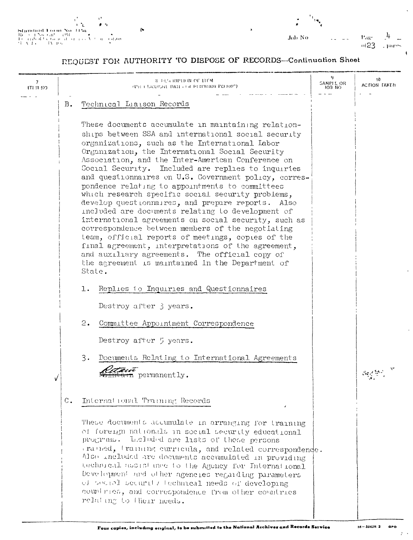

Job No

 $P_{\text{ag}}$ <br> $\frac{0.023}{2}$  $\frac{1}{4}$ . mees

# REQUEST FOR AUTHORITY TO DISPOSE OF RECORDS-Continuation Sheet

| 7.<br>ITEM NO |       | <b>8 FEARIPHON OF HEM</b><br>(PH ) LICEPSRT DATE FOR PUTTNIIOR PEEROD")                                                                                                                                                                                                                                                                                                                                                                                                                                                                                                                                                                                                                                                                                                                                                                                                                                                                       | SAMPLE OR<br><b>JOB NO</b> | 10<br>ACTION TAKEN. |
|---------------|-------|-----------------------------------------------------------------------------------------------------------------------------------------------------------------------------------------------------------------------------------------------------------------------------------------------------------------------------------------------------------------------------------------------------------------------------------------------------------------------------------------------------------------------------------------------------------------------------------------------------------------------------------------------------------------------------------------------------------------------------------------------------------------------------------------------------------------------------------------------------------------------------------------------------------------------------------------------|----------------------------|---------------------|
|               | B.    | Technical Liaison Records                                                                                                                                                                                                                                                                                                                                                                                                                                                                                                                                                                                                                                                                                                                                                                                                                                                                                                                     |                            |                     |
|               |       | These documents accumulate in maintaining relation-<br>ships between SSA and international social security<br>organizations, such as the International Labor<br>Organization, the International Social Security<br>Association, and the Inter-American Conference on<br>Social Security. Included are replies to inquiries<br>and questionnaires on U.S. Government policy, corres-<br>pondence relating to appointments to committees<br>which research specific social security problems,<br>develop questionnaires, and prepare reports. Also<br>included are documents relating to development of<br>international agreements on social security, such as<br>correspondence between members of the negotiating<br>team, official reports of meetings, copies of the<br>final agreement, interpretations of the agreement,<br>and auxiliary agreements. The official copy of<br>the agreement is maintained in the Department of<br>State. |                            |                     |
|               |       | Replies to Inquiries and Questionnaires<br>1.                                                                                                                                                                                                                                                                                                                                                                                                                                                                                                                                                                                                                                                                                                                                                                                                                                                                                                 |                            |                     |
|               |       | Destroy after 3 years.                                                                                                                                                                                                                                                                                                                                                                                                                                                                                                                                                                                                                                                                                                                                                                                                                                                                                                                        |                            |                     |
|               |       | 2.<br>Committee Appointment Correspondence                                                                                                                                                                                                                                                                                                                                                                                                                                                                                                                                                                                                                                                                                                                                                                                                                                                                                                    |                            |                     |
|               |       | Destroy after 5 years.                                                                                                                                                                                                                                                                                                                                                                                                                                                                                                                                                                                                                                                                                                                                                                                                                                                                                                                        |                            |                     |
|               |       | 3.<br>Documents Relating to International Agreements<br>arn permanently.                                                                                                                                                                                                                                                                                                                                                                                                                                                                                                                                                                                                                                                                                                                                                                                                                                                                      |                            |                     |
|               | $C$ . | International Training Records                                                                                                                                                                                                                                                                                                                                                                                                                                                                                                                                                                                                                                                                                                                                                                                                                                                                                                                |                            |                     |
|               |       | These documents accumulate in arranging for training<br>of foreign nationals in social security educational<br>programs. Leloded are lists of those persons<br>rained, training curricula, and related correspondence.<br>Also included are documents accumulated in providing<br>technical assistance to the Agency for International<br>Development and other agencies regarding parameters<br>of social security (echnical needs of developing<br>countries, and correspondence from other countries<br>relating to their needs.                                                                                                                                                                                                                                                                                                                                                                                                           |                            |                     |

 $\mathcal{F} \rightarrow$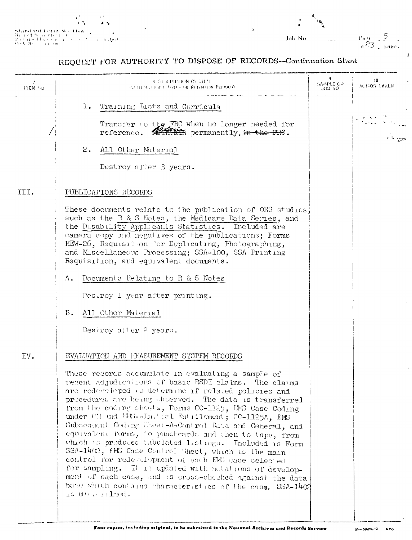|  |           | ۰,       |  |
|--|-----------|----------|--|
|  | . .       | $\cdots$ |  |
|  | n No. Umi |          |  |

 $\begin{array}{l} \mathbf{Standard\; root}\; \\ \mathbf{R}_{t-1}\; \text{ed}\; \mathbf{N}_{t} \; \text{with}\; t \\ \mathbf{P}_{t} \leq t(\text{to} \; t) \; \forall t \in \mathbb{R} \\ \mathbf{Q}_{t} \leq t(\text{to} \; t) \; \forall t \in \mathbb{R} \\ \end{array}$ a congon

 $P_{\text{max}} = \frac{5}{2}$ Job No.

# REQUEST FOR AUTHORITY TO DISPOSE OF RECORDS-Continuation Sheet

| 7<br>HEM NO | В В ДИРНОЙ ОГИГЧ<br>ANIIL BALLO ANT DATES OR RETENTEDN PENOUS)                                                                                                                                                                                                                                                                                                                                                                                                                                                                                                                                                                                                                                                                                                                                                                                                                                | 9<br>SAMPLE GR<br>JUS NO. | 10<br>ACTION TAKEN.              |
|-------------|-----------------------------------------------------------------------------------------------------------------------------------------------------------------------------------------------------------------------------------------------------------------------------------------------------------------------------------------------------------------------------------------------------------------------------------------------------------------------------------------------------------------------------------------------------------------------------------------------------------------------------------------------------------------------------------------------------------------------------------------------------------------------------------------------------------------------------------------------------------------------------------------------|---------------------------|----------------------------------|
|             | ı.<br>Training Lists and Curricula<br>Transfer to the FRC when no longer needed for<br>reference. At han permanently. in the FRC.<br>2.<br>All Other Material                                                                                                                                                                                                                                                                                                                                                                                                                                                                                                                                                                                                                                                                                                                                 |                           | u processine<br>Tingku se englis |
| III.        | Destroy after 3 years.<br>PUBLICATIONS RECORDS<br>These documents relate to the publication of ORS studies<br>such as the R & S Notes, the Medicare Data Series, and<br>the Disability Applicants Statistics. Included are<br>camera copy and negatives of the publications; Forms<br>HEW-26, Requisition for Duplicating, Photographing,<br>and Miscellaneous Processing; SSA-100, SSA Printing<br>Requisition, and equivalent documents.                                                                                                                                                                                                                                                                                                                                                                                                                                                    |                           |                                  |
|             | Documents Relating to R & S Notes<br>Α.<br>Pestroy i year after printing.<br>All Other Material<br>$B$ .<br>Destroy after 2 years.                                                                                                                                                                                                                                                                                                                                                                                                                                                                                                                                                                                                                                                                                                                                                            |                           |                                  |
| IV.         | EVALUATION AND MEASUREMENT SYCTEM RECORDS<br>These records accumulate in evaluating a sample of<br>recent adjudications of basic RSDI claims. The claims<br>are redeveloped to determine if related policies and<br>procedures are being observed. The data is transferred<br>from the coding sheets, Forms CO-1125, EMS Case Coding<br>under CH und EES--In. tral Entrilement; CO-1125A, EMS<br>Subsequent Coding Cheet-A-Control Data and General, and<br>equivalent forms, to puncheards and then to tape, from<br>which is produced tabulated listings. Included is Form<br>SSA-1402, EMD Case Control Sheet, which is the main<br>control for redeplopment of each EMS case selected<br>for sampling. It is updated with notations of develop-<br>ment of each case, and is cross-checked against the data<br>base which contains characteristics of the case. SSA-1402<br>IS March Hed. |                           |                                  |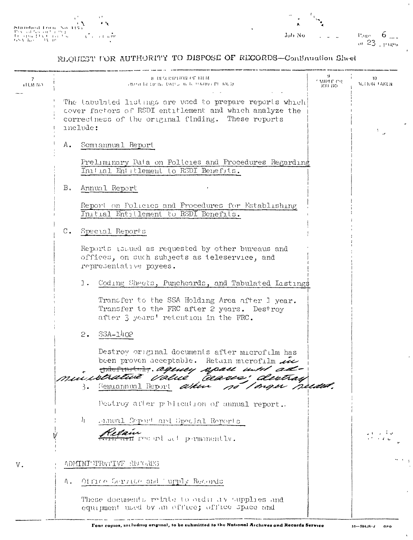



# REQUEST FOR AUTHORITY TO DISPOSE OF RECORDS-Confinuation Sheet

| 7<br><b>EBI NJ</b> | а ога пополна а<br>ASPAIN LIEN, DATES IN A UNIOT PE ALEX                                                                                                                              | 9.<br><b>SMPLE CR</b><br>JOB 110 | -10<br>ACTION TAKEN |
|--------------------|---------------------------------------------------------------------------------------------------------------------------------------------------------------------------------------|----------------------------------|---------------------|
|                    | The tabulated listings are used to prepare reports which<br>cover factors of RSDI entitlement and which analyze the<br>correctness of the original finding. These reports<br>include: |                                  | v.                  |
|                    | Semiannual Report<br>Α.                                                                                                                                                               |                                  |                     |
|                    | Preliminary Data on Policies and Procedures Regarding<br>Initial Entitlement to RSDI Benefits.                                                                                        |                                  |                     |
|                    | Annual Report<br>В.                                                                                                                                                                   |                                  |                     |
|                    | Report on Policies and Procedures for Establishing<br>Initial Entitlement to RSDI Benefits.                                                                                           |                                  |                     |
|                    | $C_{\bullet}$<br>Special Reports                                                                                                                                                      |                                  |                     |
|                    | Reports issued as requested by other bureaus and<br>offices, on such subjects as teleservice, and<br>representative payees.                                                           |                                  |                     |
|                    | Coding Sheets, Puncheards, and Tabulated Listings<br>1.                                                                                                                               |                                  |                     |
|                    | Transfer to the SSA Holding Area after I year.<br>Transfer to the FRC after 2 years. Destroy<br>after 3 years' retention in the FRC.                                                  |                                  |                     |
|                    | $53A - 1402$<br>2.                                                                                                                                                                    |                                  |                     |
|                    | Destroy original documents after microfilm has<br>been proven acceptable. Retain microfilm 22                                                                                         |                                  |                     |
|                    | tribefrantaly. agency space until ad-<br>ministrative value ceases; destray<br>Semiannual Report attur                                                                                |                                  |                     |
|                    | no Imger needed.<br>ぅ.<br>Destroy after poblication of annual report.                                                                                                                 |                                  |                     |
|                    | $\mathcal{V}_{\mathcal{V}}$<br>Famual Depart and Special Reports                                                                                                                      |                                  |                     |
|                    | THE Post and act permanently.                                                                                                                                                         |                                  | ا ب: أ              |
| V.                 | ADMINITERATIVE RECORDS                                                                                                                                                                |                                  |                     |
|                    | Office Service and 'upply Records<br>Α.                                                                                                                                               |                                  |                     |
|                    | These documents relate to ordinary supplies and<br>equipment used by an office; office space and                                                                                      |                                  |                     |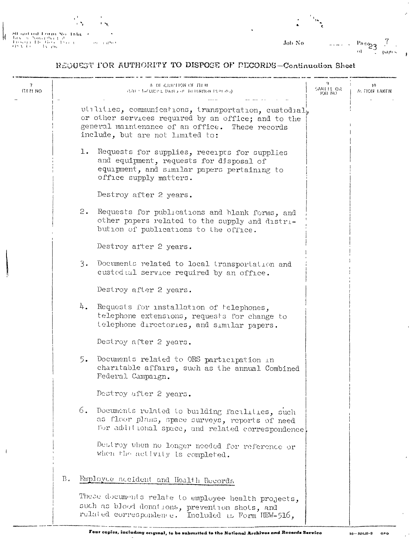

 $\overline{1}$ 

 $\frac{P_{\text{avg}}}{P_{\text{avg}}}$  =  $\frac{1}{P_{\text{avg}}}$ Job $\bar{N}\sigma$ 

# REQUEST FOR AUTHORITY TO DISPOSE OF PECORDS-Continuation Sheet

| 7<br><b>ITEM NO</b> |    | <b>B DE CRIPTION OF ITEM</b><br>AND CROCKING DATES OF RETENTION PLPL 40 A                                                                                                                           | SAMELE OR<br>OH BOL | $\overline{10}$<br>ALTION TAKEN |
|---------------------|----|-----------------------------------------------------------------------------------------------------------------------------------------------------------------------------------------------------|---------------------|---------------------------------|
|                     |    | utilities, communications, transportation, custodial,<br>or other services required by an office; and to the<br>general maintenance of an office. These records<br>include, but are not limited to: |                     |                                 |
|                     |    | ı.<br>Requests for supplies, receipts for supplies<br>and equipment, requests for disposal of<br>equipment, and similar papers pertaining to<br>office supply matters.                              |                     |                                 |
|                     |    | Destroy after 2 years.                                                                                                                                                                              |                     |                                 |
|                     |    | 2.<br>Requests for publications and blank forms, and<br>other papers related to the supply and distri-<br>bution of publications to the office.                                                     |                     |                                 |
|                     |    | Destroy after 2 years.                                                                                                                                                                              |                     |                                 |
|                     |    | 3.<br>Documents related to local transportation and<br>custed al service required by an office.                                                                                                     |                     |                                 |
|                     |    | Destroy after 2 years.                                                                                                                                                                              |                     |                                 |
|                     |    | 4.<br>Requests for installation of telephones,<br>telephone extensions, requests for change to<br>telephone directories, and similar papers.                                                        |                     |                                 |
|                     |    | Destroy after 2 years.                                                                                                                                                                              |                     |                                 |
|                     |    | 5.<br>Documents related to ORS participation in<br>charitable affairs, such as the annual Combined<br>Federal Campaign.                                                                             |                     |                                 |
|                     |    | Destroy after 2 years.                                                                                                                                                                              |                     |                                 |
|                     |    | 6.<br>Documents related to building facilities, such<br>as floor plans, space surveys, reports of need<br>for additional space, and related correspondence                                          |                     |                                 |
|                     |    | Destroy when no longer needed for reference or<br>when the activity is completed.                                                                                                                   |                     |                                 |
|                     | Β. | Employee Accident and Health Records                                                                                                                                                                |                     |                                 |
|                     |    | These documents relate to employee health projects,<br>such as blood donations, prevention shots, and<br>related correspondence. Included is Form HEW-516,                                          |                     |                                 |
|                     |    | Four copies, including original, to be submitted to the National Archives and Records Service                                                                                                       |                     | 10-- 594.28-2<br>GPO            |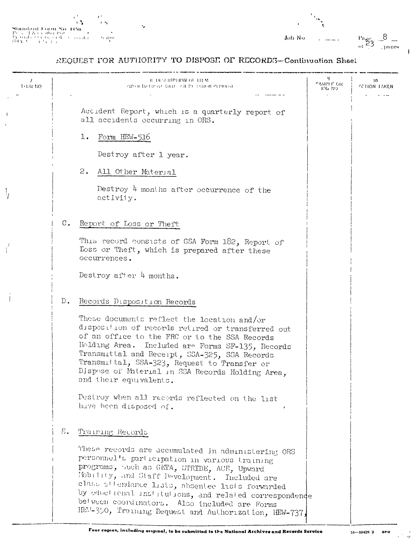|                                                                                | n A | ъ.        |
|--------------------------------------------------------------------------------|-----|-----------|
| Standard Form No. 115a                                                         |     | ٠         |
| Provide New Columbus<br>The strate of the Country Concert and Ala<br>スタイ スティック |     | 11. H 199 |

| Job No | $\blacksquare$ | Page<br><b>COMMERCE</b> |
|--------|----------------|-------------------------|
|        |                | - pages<br>-            |

# REQUEST FOR AUTHORITY TO DISPOSE OF RECORDS-Continuation Sheel

Ÿ,

| $\prime$<br>$1+LM$ NO |               | <b>B DURBIPHON OF THEM</b><br>GYPH IN UP NE DAIL OR PE FUILEM PEDIESE                                                                                                                                                                                                                                                                                                                                                                           | CAMPLE OR<br>JOP 510 | 10<br><b>ZCTION TAKEN</b> |
|-----------------------|---------------|-------------------------------------------------------------------------------------------------------------------------------------------------------------------------------------------------------------------------------------------------------------------------------------------------------------------------------------------------------------------------------------------------------------------------------------------------|----------------------|---------------------------|
|                       |               | Accident Report, which is a quarterly report of<br>all accidents occurring in ORS.                                                                                                                                                                                                                                                                                                                                                              |                      |                           |
|                       |               | 1.<br>Form HEW-516                                                                                                                                                                                                                                                                                                                                                                                                                              |                      |                           |
|                       |               | Destroy after 1 year.                                                                                                                                                                                                                                                                                                                                                                                                                           |                      |                           |
|                       |               | 2.<br>All Other Material                                                                                                                                                                                                                                                                                                                                                                                                                        |                      |                           |
| V                     |               | Destroy 4 months after occurrence of the<br>activity.                                                                                                                                                                                                                                                                                                                                                                                           |                      |                           |
|                       | $C_{\bullet}$ | Report of Loss or Theft                                                                                                                                                                                                                                                                                                                                                                                                                         |                      |                           |
|                       |               | This record consists of GSA Form 182, Report of<br>Loss or Theft, which is prepared after these<br>occurrences.                                                                                                                                                                                                                                                                                                                                 |                      |                           |
|                       |               | Destroy after $4$ months.                                                                                                                                                                                                                                                                                                                                                                                                                       |                      |                           |
|                       | $D$ .         | Records Disposition Records                                                                                                                                                                                                                                                                                                                                                                                                                     |                      |                           |
|                       |               | These documents reflect the location and/or<br>disposition of records retired or transferred out<br>of an office to the FRC or to the SSA Records<br>Holding Area. Included are Forms SF-135, Records<br>Transmittal and Receipt, SSA-325, SSA Records<br>Transmittal, SSA-323, Request to Transfer or<br>Dispose of Material in SSA Records Holding Area,<br>ond their equivalents.                                                            |                      |                           |
|                       |               | Destroy when all records reflected on the list<br>have been disposed of.                                                                                                                                                                                                                                                                                                                                                                        |                      |                           |
|                       | Е.            | Training Records<br>These records are accumulated in administering ORS<br>personnel's participation in various training<br>programs, such as GETA, STRIDE, ACE, Upward<br>Mobility, and Staff Development. Included are<br>class attendance Lists, absentee lists forwarded<br>by eductional institutions, and related correspondence<br>between coordinators. Also included are Forms<br>HEU-350, Training Request and Authorization, HEW-737, |                      |                           |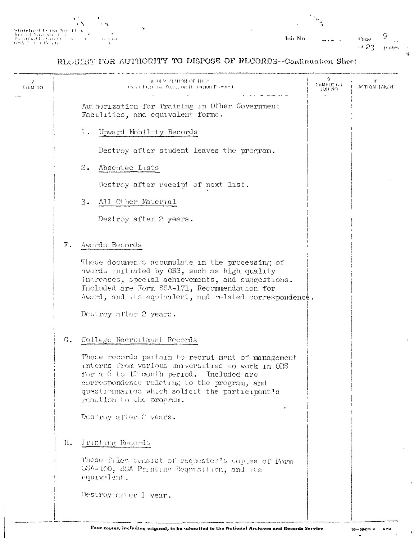|                               | . .      |
|-------------------------------|----------|
|                               | . .      |
| Shodard Ferni No. 11          |          |
| They a let's a replace to the |          |
| Presidad Ectared              | te fan i |
| スパイ アート・エストラル                 |          |

| ı      | ۱. |                       |                                    |
|--------|----|-----------------------|------------------------------------|
| Job No |    | Page<br>$\approx$ 23. | L,<br>$\cdot$ $\cdot$<br>$1.14$ ex |

# RLOULST FOR AUTHORITY TO DISPOSE OF RECORDS--Coatinuation Sheet

| пты во |            | а тчествион ог ини<br>PV IT EXAUTLE DAILYOR REPRISON P PROPS)                                                                                                                                                                                                                              | SAMPLE GR<br>ראז נוטג | 10<br><b>MITION TAKEN</b> |
|--------|------------|--------------------------------------------------------------------------------------------------------------------------------------------------------------------------------------------------------------------------------------------------------------------------------------------|-----------------------|---------------------------|
|        |            | Authorization for Training in Other Government<br>Facilities, and equivalent forms.                                                                                                                                                                                                        |                       |                           |
|        |            | l.<br>Upward Mobility Records                                                                                                                                                                                                                                                              |                       |                           |
|        |            | Destroy after student leaves the program.                                                                                                                                                                                                                                                  |                       |                           |
|        |            | 2.<br>Absentee Lists                                                                                                                                                                                                                                                                       |                       |                           |
|        |            | Destroy after receipt of next list.                                                                                                                                                                                                                                                        |                       |                           |
|        |            | 3.<br>All Other Material                                                                                                                                                                                                                                                                   |                       |                           |
|        |            | Destroy after 2 years.                                                                                                                                                                                                                                                                     |                       |                           |
|        | $\Gamma$ . | Awards Records                                                                                                                                                                                                                                                                             |                       |                           |
|        |            | These documents accumulate in the processing of<br>awards initiated by ORS, such as high quality<br>indreases, special achievements, and suggestions.<br>Included are Form SSA-171, Recommendation for<br>Award, and its equivalent, and related correspondence.<br>Destroy after 2 years. |                       |                           |
|        | G.         | College Recruitment Records                                                                                                                                                                                                                                                                |                       |                           |
|        |            | These records pertain to recruitment of management<br>interns from various universities to work in ORS<br>for a 6 to 12 month period. Included are<br>correspondence relating to the program, and<br>questionnaites which solicit the participant's<br>reaction to the program.            |                       |                           |
|        |            | Destroy after 2 years.                                                                                                                                                                                                                                                                     |                       |                           |
|        | н.         | I vint ing Records                                                                                                                                                                                                                                                                         |                       |                           |
|        |            | These files consist of requester's copies of Form<br>5SA-100, SSA Printing Requisition, and its<br>equivalent.                                                                                                                                                                             |                       |                           |
|        |            | Destroy after I year.                                                                                                                                                                                                                                                                      |                       |                           |

 $\bullet$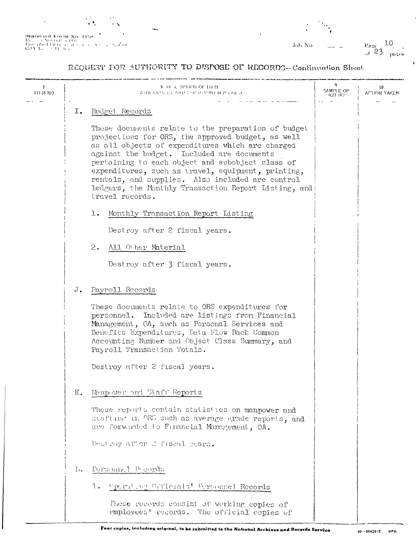$\begin{array}{l} \bf 844 \, \bf n(d) \, \bf u(d) \, \bf b \, \bf o \, \bf m \, \, \bf No \, \, 135 \, \bf s \\ \bf Re \, \bf v \, \, \, \, \cdot \, \, \cdot \, \, \cdot \, \, \cdot \, \, \cdot \, \, \cdot \, \, \cdot \, \, \cdot \, \, \cdot \, \, \cdot \, \, \cdot \, \, \cdot \, \, \cdot \, \, \cdot \, \, \cdot \, \, \cdot \, \, \cdot \, \, \cdot \, \, \cdot \, \, \cdot \, \, \cdot \, \, \cdot \, \, \cdot \, \, \cdot \$  $\epsilon = \epsilon_{\rm{0}}/\omega_{\rm{0}}^{\rm{N}}$  on

Joh No.

 $\frac{\text{Page}}{\text{of}}$  23  $\frac{10}{\text{pass}}$ 

#### REQUEST FOR AUTHORITY TO DISPOSE OF RECORDS-Continuation Sheet

| 7<br>ни по |     | <b>B OL CONTROL IT R</b><br>AND RESULT DATE OF BUILDING PLANE OF                                                                                                                                                                                                                                                                                                                                                                                    | SAMPLE OP<br><b>103.110</b> | 10<br>ACTION TAKEN |
|------------|-----|-----------------------------------------------------------------------------------------------------------------------------------------------------------------------------------------------------------------------------------------------------------------------------------------------------------------------------------------------------------------------------------------------------------------------------------------------------|-----------------------------|--------------------|
|            | I.  | Budget Records                                                                                                                                                                                                                                                                                                                                                                                                                                      |                             |                    |
|            |     | These documents relate to the preparation of budget<br>projections for ORS, the approved budget, as well<br>as all objects of expenditures which are charged<br>against the budget. Included are documents<br>pertaining to each object and subobject class of<br>expenditures, such as travel, equipment, printing,<br>rentals, and supplies. Also included are control<br>ledgers, the Monthly Transaction Report Listing, and<br>travel records. |                             |                    |
|            |     | Monthly Transaction Report Listing<br>1.                                                                                                                                                                                                                                                                                                                                                                                                            |                             |                    |
|            |     | Destroy after 2 fiscal years.                                                                                                                                                                                                                                                                                                                                                                                                                       |                             |                    |
|            |     | 2.<br>All Other Material                                                                                                                                                                                                                                                                                                                                                                                                                            |                             |                    |
|            |     | Destroy after 3 fiscal years.                                                                                                                                                                                                                                                                                                                                                                                                                       |                             |                    |
|            | J.  | Payroll Records                                                                                                                                                                                                                                                                                                                                                                                                                                     |                             |                    |
|            |     | These documents relate to ORS expenditures for<br>personnel. Included are listings from Financial<br>Management, OA, such as Personal Services and<br>Benefits Expenditures, Data Flow Back Common<br>Accounting Number and Object Class Summary, and<br>Payroll Transaction Totals.                                                                                                                                                                |                             |                    |
|            |     | Destroy after 2 fiscal years.                                                                                                                                                                                                                                                                                                                                                                                                                       |                             |                    |
|            | Κ.  | Monpower and Staff Reports                                                                                                                                                                                                                                                                                                                                                                                                                          |                             |                    |
|            |     | These reports contain statistics on manpower and<br>staffing in ORS such as average grade reports, and<br>are forwarded to Financial Management, OA.                                                                                                                                                                                                                                                                                                |                             |                    |
|            |     | Destroy atter 2 fiscal years.                                                                                                                                                                                                                                                                                                                                                                                                                       |                             |                    |
|            | Īπ. | Personnell Pecords                                                                                                                                                                                                                                                                                                                                                                                                                                  |                             |                    |
|            |     | - Operation Guicials' Personnel Records<br>Ί.                                                                                                                                                                                                                                                                                                                                                                                                       |                             |                    |
|            |     | These records consist of working copies of<br>employees' records. The official copies of                                                                                                                                                                                                                                                                                                                                                            |                             |                    |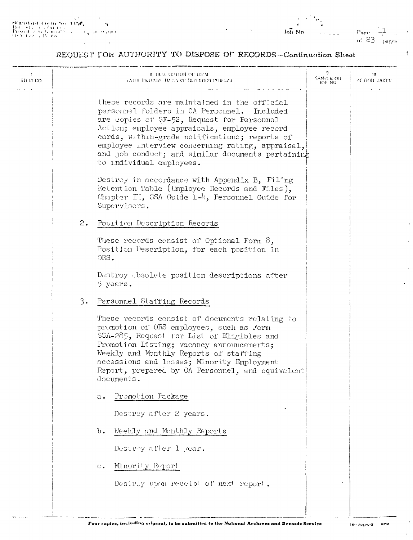$\rho_{\rm age} = 11$ of  $23$  pages

ŕ

#### REQUEST FOR AUTHORITY TO DISPOSE OF RECORDS--Continuation Sheet

| ÷<br>шы ко |    | <b>B</b> DURRANT OF ITEM<br><b>PROBLING USINE DATES OF RETURNING PENDIST</b>                                                                                                                                                                                                                                                                                                       | SAMPLE OR<br><b>JOB NO</b> | 10<br>ACTION TAKEN |
|------------|----|------------------------------------------------------------------------------------------------------------------------------------------------------------------------------------------------------------------------------------------------------------------------------------------------------------------------------------------------------------------------------------|----------------------------|--------------------|
|            |    | these records are maintained in the official<br>personnel folders in OA Personnel.<br>Included<br>are copies of SF-52, Request for Personnel<br>Action; employee appraisals, employee record<br>cards, within-grade notifications; reports of<br>employee interview concerning rating, appraisal,<br>and job conduct; and similar documents pertaining<br>to individual employees. |                            |                    |
|            |    | Destroy in accordance with Appendix B, Filing<br>Retention Table (Employee Records and Files),<br>Chapter II, SSA Guide 1-4, Personnel Guide for<br>Supervisors.                                                                                                                                                                                                                   |                            |                    |
|            | 2. | Position Description Records                                                                                                                                                                                                                                                                                                                                                       |                            |                    |
|            |    | These records consist of Optional Form $\delta$ ,<br>Fosition Description, for each position in<br>ORS.                                                                                                                                                                                                                                                                            |                            |                    |
|            |    | Destroy obsolete position descriptions after<br>5 years.                                                                                                                                                                                                                                                                                                                           |                            |                    |
|            | 3. | Personnel Staffing Records                                                                                                                                                                                                                                                                                                                                                         |                            |                    |
|            |    | These records consist of documents relating to<br>promotion of ORS employees, such as Form<br>SSA-285, Request for List of Eligibles and<br>Promotion Listing; vacancy announcements;<br>Weekly and Monthly Reports of staffing<br>accessions and losses; Minority Employment<br>Report, prepared by OA Personnel, and equivalent<br>documents.                                    |                            |                    |
|            |    | Promotion Package<br>$a$ .                                                                                                                                                                                                                                                                                                                                                         |                            |                    |
|            |    | Destroy after 2 years.                                                                                                                                                                                                                                                                                                                                                             |                            |                    |
|            |    | Weekly and Monthly Reports<br>$\mathbf{b}$ .                                                                                                                                                                                                                                                                                                                                       |                            |                    |
|            |    | Destroy after 1 year.                                                                                                                                                                                                                                                                                                                                                              |                            |                    |
|            |    | Minority Report<br>$c$ .                                                                                                                                                                                                                                                                                                                                                           |                            |                    |
|            |    | Destroy upon receipt of next report.                                                                                                                                                                                                                                                                                                                                               |                            |                    |
|            |    |                                                                                                                                                                                                                                                                                                                                                                                    |                            |                    |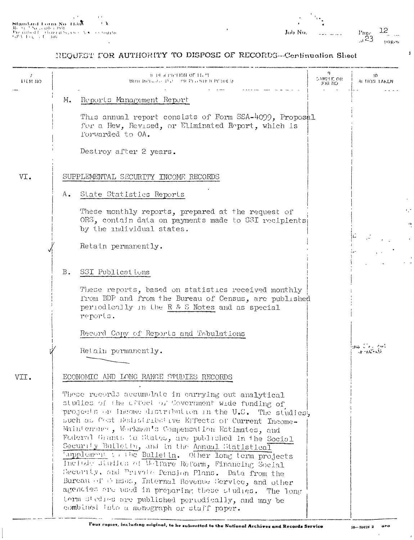$\mathbf{I}$ 

 $\mathbf{r}$  $\epsilon$  .  $\vec{r}_1$  $\overline{a}$ 

#### NEQUEST FOR AUTHORITY TO DISPOSE OF RECORDS-Confinuation Sheet

| 7<br><b>IEM IIO</b> |               | <b>B BEX PIPERON OF H. M.</b><br>WITH BIOLOGIC DAY ON PLONIE II PERMEY                                                                                                                                                                                                                                                                                                                                                                                                                                                                                                                                                                                                                                                                                                                         | q.<br>SAMPLE OR<br>JOB NO. | 10<br>ALTION TAKEN        |
|---------------------|---------------|------------------------------------------------------------------------------------------------------------------------------------------------------------------------------------------------------------------------------------------------------------------------------------------------------------------------------------------------------------------------------------------------------------------------------------------------------------------------------------------------------------------------------------------------------------------------------------------------------------------------------------------------------------------------------------------------------------------------------------------------------------------------------------------------|----------------------------|---------------------------|
|                     | М.            | Reports Management Report                                                                                                                                                                                                                                                                                                                                                                                                                                                                                                                                                                                                                                                                                                                                                                      |                            |                           |
|                     |               | This annual report consists of Form SSA-4099, Proposal<br>for a New, Revised, or Eliminated Report, which is<br>Torwarded to OA.                                                                                                                                                                                                                                                                                                                                                                                                                                                                                                                                                                                                                                                               |                            |                           |
|                     |               | Destroy after 2 years.                                                                                                                                                                                                                                                                                                                                                                                                                                                                                                                                                                                                                                                                                                                                                                         |                            |                           |
| VI.                 |               | SUPPLEMENTAL SECURITY INCOME RECORDS                                                                                                                                                                                                                                                                                                                                                                                                                                                                                                                                                                                                                                                                                                                                                           |                            |                           |
|                     | $A_{\bullet}$ | State Statistics Reports                                                                                                                                                                                                                                                                                                                                                                                                                                                                                                                                                                                                                                                                                                                                                                       |                            |                           |
|                     |               | These monthly reports, prepared at the request of<br>ORS, contain data on payments made to SSI recipients<br>by the individual states.                                                                                                                                                                                                                                                                                                                                                                                                                                                                                                                                                                                                                                                         |                            |                           |
|                     |               | Retain permanently.                                                                                                                                                                                                                                                                                                                                                                                                                                                                                                                                                                                                                                                                                                                                                                            |                            |                           |
|                     | $B$ .         | SSI Publications                                                                                                                                                                                                                                                                                                                                                                                                                                                                                                                                                                                                                                                                                                                                                                               |                            |                           |
|                     |               | These reports, based on statistics received monthly<br>from BDP and from the Bureau of Census, are published<br>periodically in the R & S Notes and as special<br>reports.                                                                                                                                                                                                                                                                                                                                                                                                                                                                                                                                                                                                                     |                            |                           |
|                     |               | Record Copy of Reports and Tabulations                                                                                                                                                                                                                                                                                                                                                                                                                                                                                                                                                                                                                                                                                                                                                         |                            |                           |
|                     |               | Retain permanently.                                                                                                                                                                                                                                                                                                                                                                                                                                                                                                                                                                                                                                                                                                                                                                            |                            | است کا میں<br>ar na Chaoi |
| VII.                |               | ECONOMIC AND LONG RANGE STUDIES RECORDS                                                                                                                                                                                                                                                                                                                                                                                                                                                                                                                                                                                                                                                                                                                                                        |                            |                           |
|                     |               | These records accumulate in carrying out analytical<br>studies of the offect of Covernment wide funding of<br>projects on income distribution in the U.S. The studies,<br>such as Cost Redistribetive Effects of Current Income-<br>Maintenance, Workmen's Compensation Estimates, and<br>Federal Grants to States, are published in the Social<br>Security Bulletin, and in the Annual Statistical<br>Tapplement to the Bulletin. Other long term projects<br>Include studies of Welfare Reform, Financing Social<br>Security, and Privite Pension Plans. Data from the<br>Bureau of Chaos, Internal Revenue Service, and other<br>agencies are used in preparing these studies. The long<br>term stedies are published periodically, and may be<br>combined into a monograph or staff paper. |                            |                           |

 $\mathbf{r}$ 

 $\epsilon$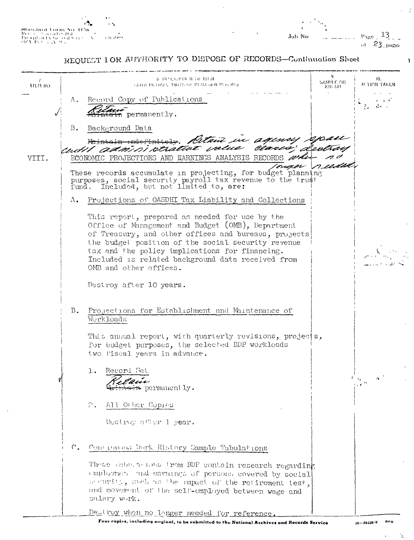Bandard Lorin No. 1156 eonument tom St<br>Proghod Correls<br>Droghod Correls<br>OS V P.) - , 2V 9

 $v_{\rm age}$   $13$ Job No of  $23$  pages

N

#### REQUEST LOR AUTHORITY TO DISPOSE OF RECORDS-Continuation Sheet

 $\mathbf{a}$ **& DESCRIPTER OF THIM** 10. SAMPLE OR Gara therusts. Days de Prithard Pressos, ACTION TAKEN trem no.  $\omega = \omega = -\omega$ Record Copy of Publications Λ.  $\omega = \sqrt{-\epsilon}$  $2.734.7$ permanently.  $B$ . Background Data Detani in agency meme admini peratua clar. VIII. ECONOMIC PROJECTIONS AND EARNINGS ANALYSIS RECORDS 'nieze These records accumulate in projecting, for budget planning purposes, social security payroll tax revenue to the trust<br>fund. Included, but not limited to, are: Λ. Projections of OASDHI Tax Liability and Collections This report, prepared as needed for use by the Office of Management and Budget (OMB), Department of Treasury, and other offices and bureaus, projects the budget position of the social security revenue tax and the policy implications for financing. Included is related background data received from OMB and other offices. Destroy after 10 years.  $B_{\bullet}$ Projections for Establishment and Maintenance of Workloads This annual report, with quarterly revisions, projects, for budget purposes, the selected EDP workloads two fiscal years in advance.  $1.$ Record Set <del>n</del> permanently. 2. All Other Copies Destroy after 1 year.  $C_{\bullet}$ Contractors Work History Sample Tabulations These cabe whose from BDF contain research regarding employmer and earnings of persons covered by social becuring, such as the mapach of the retirement test, and movement of the self-employed between wage and salary work. Destroy when no longer needed for reference.

Four copies, including onginal, to be submitted to the National Archives and Records Service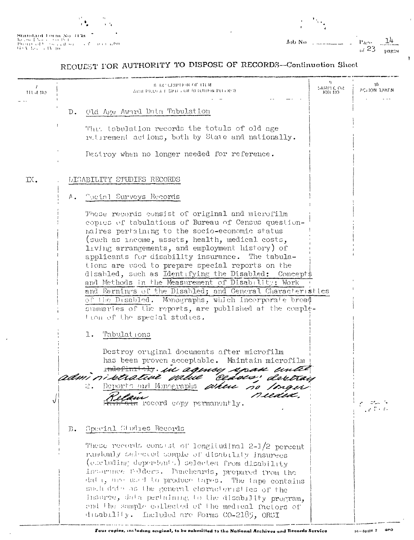

 $\sim$   $\sim$  $\begin{array}{l} \textbf{Standard Form No} \rightarrow \textbf{15a} \\ \textbf{b} \rightarrow \textbf{8a} + \textbf{8a} \rightarrow \textbf{9a} + \textbf{9a} + \textbf{17a} \\ \textbf{P} \textbf{0} \cdot \textbf{c} (1) \cdot \textbf{d} \cdot \textbf{1} \rightarrow \textbf{6a} \cdot \textbf{d} \cdot \textbf{8a} \\ \textbf{G} \cdot \textbf{V} \cdot \textbf{b} \cdot \textbf{a} \rightarrow \textbf{4V} \cdot \textbf{10} \\ \end{array}$  $\sqrt{5}$  , and a row

 $\overline{\phantom{a}}$ 

 $\frac{1}{1}$ 

 $\epsilon$ 

Ŷ

# REQUEST FOR AUTHORITY TO DISPOSE OF RECORDS-Confinuation Sheet

| THE VEHICLE   | A DECRIPTION OF ITEM<br>ATH PROGRESOR RUDBEND PUD DAY                                                                                                                                                                                                                                                                                                                                                                                                                                                                                                                                                                                                                                               | 9.<br>SAMPLE OR<br>юн пог | -10<br>ACTION JAKEN |
|---------------|-----------------------------------------------------------------------------------------------------------------------------------------------------------------------------------------------------------------------------------------------------------------------------------------------------------------------------------------------------------------------------------------------------------------------------------------------------------------------------------------------------------------------------------------------------------------------------------------------------------------------------------------------------------------------------------------------------|---------------------------|---------------------|
|               | - Old Age Award Data Tabulation<br>$D_{\bullet}$                                                                                                                                                                                                                                                                                                                                                                                                                                                                                                                                                                                                                                                    |                           |                     |
|               | Thus tabulation records the totals of old age<br>retirement actions, both by State and nationally.                                                                                                                                                                                                                                                                                                                                                                                                                                                                                                                                                                                                  |                           |                     |
|               | Destroy when no longer needed for reference.                                                                                                                                                                                                                                                                                                                                                                                                                                                                                                                                                                                                                                                        |                           |                     |
| $\mathbb{R}.$ | <b>DISABILITY STUDIES RECORDS</b>                                                                                                                                                                                                                                                                                                                                                                                                                                                                                                                                                                                                                                                                   |                           |                     |
|               | - Tocinl Surveys Records<br>Α.                                                                                                                                                                                                                                                                                                                                                                                                                                                                                                                                                                                                                                                                      |                           |                     |
|               | These records consist of original and microfilm<br>copies of tabulations of Bureau of Census question-<br>naires pertaining to the socio-economic status<br>(such as income, assets, health, medical costs,<br>living arrangements, and employment history) of<br>applicants for disability insurance. The tabula-<br>tions are used to prepare special reports on the<br>disabled, such as Identifying the Disabled: Concepts<br>and Methods in the Measurement of Disability; Work<br>and Earnings of the Disabled; and General Characteristics<br>of the Disabled. Monographs, which incorporate broad<br>summaries of the reports, are published at the comple-<br>tion of the special studies. |                           |                     |
|               | Tabulat ions<br>l.<br>Destroy original documents after microfilm<br>has been proven acceptable. Maintain microfilm<br>metiming. In agency apan until<br>admi ni retrative palue<br>ceases, deretay<br>Reports and Monographs attend no<br>2.<br>nean                                                                                                                                                                                                                                                                                                                                                                                                                                                |                           |                     |
| √             | ecord copy permanently.                                                                                                                                                                                                                                                                                                                                                                                                                                                                                                                                                                                                                                                                             |                           | معانی               |
|               | Special Studies Records<br>$\mathbb{D}$ .                                                                                                                                                                                                                                                                                                                                                                                                                                                                                                                                                                                                                                                           |                           |                     |
|               | These records consist of longitudinal 2-1/2 percent<br>randomly selected sample of disability insurees<br>(eleteding deperdents) selected from disability<br>incorduce folders. Puncheards, prepared from the<br>data, are used to produce tapes. The tape contains<br>such data as the general characteristics of the<br>insurce, data pertaining to the disability program,<br>end the sample collected of the medical factors of<br>disability. Included are Forms CO-2185, ORSI                                                                                                                                                                                                                 |                           |                     |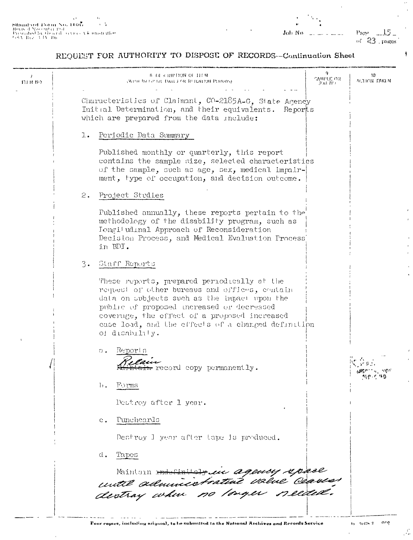$\mathbf{r}^{\top}$  $\begin{tabular}{lcccccc} \textbf{S}\textbf{H}\textbf{u} \textbf{u} \textbf{d} \textbf{u} \textbf{d} & \textbf{I} \textbf{b} \textbf{m} & \textbf{A} \textbf{b} & \textbf{A} \textbf{b} & \textbf{B} \textbf{b} & \textbf{B} \textbf{b} \\ \textbf{Reess of N}} & \textbf{N} \textbf{b} & \textbf{c} & \textbf{d} & \textbf{d} & \textbf{b} \\ \textbf{Reess of N} & \textbf{d} & \textbf{d} & \textbf{d} & \textbf{d} & \textbf{d} & \text$ 

Page  $-15$ of  $23$  pages  $\ddotsc$ 

ł

 $\mathbf{r}$ 

# REQUEST FOR AUTHORITY TO DISPOSE OF RECORDS-Continuation Sheet

| итм но | 8 DE RIPION OF HEM<br>SAMPLE OR<br><b>WITH THEFT BE DAILY OR RETENTION PERIODS)</b><br>JOR NO                                                                                                                                                                                                                     | 10<br><b>MULTICH TAKEN</b> |
|--------|-------------------------------------------------------------------------------------------------------------------------------------------------------------------------------------------------------------------------------------------------------------------------------------------------------------------|----------------------------|
|        | Characteristics of Claimant, CO-2185A-G. State Agency<br>Initial Determination, and their equivalents. Reports<br>which are prepared from the data include:                                                                                                                                                       |                            |
|        | 1.<br>Periodic Data Summary                                                                                                                                                                                                                                                                                       |                            |
|        | Published monthly or quarterly, this report<br>contains the sample size, selected characteristics<br>of the sample, such as age, sex, medical impair-<br>ment, type of occupation, and decision outcome.                                                                                                          |                            |
|        | 2.<br>Project Studies                                                                                                                                                                                                                                                                                             |                            |
|        | Published annually, these reports pertain to the<br>methodology of the disability program, such as<br>Iongitudinal Approach of Reconsideration<br>Decision Process, and Medical Evaluation Process<br>in BDI.                                                                                                     |                            |
|        | 3.<br>Staff Reports                                                                                                                                                                                                                                                                                               |                            |
|        | These reports, prepared periodically at the<br>request of other bureaus and offices, contain<br>data on subjects such as the impact upon the<br>public of proposed increased or decreased<br>coverage, the effect of a proposed increased<br>case load, and the effects of a changed definition<br>of disability. |                            |
|        | Reports<br>$\Omega$ .<br>record copy permanently.                                                                                                                                                                                                                                                                 |                            |
|        | $\mathbf{b}$ .<br>Forms                                                                                                                                                                                                                                                                                           |                            |
|        | Destroy after 1 year.                                                                                                                                                                                                                                                                                             |                            |
|        | <u>Puncheards</u><br>$c_{\bullet}$                                                                                                                                                                                                                                                                                |                            |
|        | Destroy I year after tape is produced.                                                                                                                                                                                                                                                                            |                            |
|        | d.<br>Tapes                                                                                                                                                                                                                                                                                                       |                            |
|        | Mintain <del>ministrale</del> in agency space<br>until adminicatratute value Ceauces                                                                                                                                                                                                                              |                            |
|        |                                                                                                                                                                                                                                                                                                                   |                            |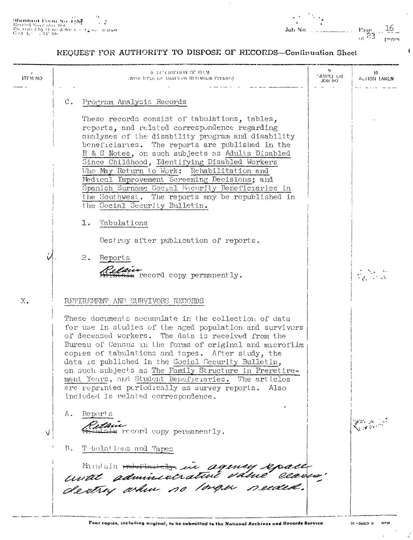**(Mandard Torm No. 1)**<br>
Revised November 1951<br>
Proteined by Gone of Service  $\lambda_2$  is a ground<br>
GSA (c) = JV 106

 $\frac{16}{1000}$ <br>Job No.

 $\ddot{\bullet}$ 

## REQUEST FOR AUTHORITY TO DISFOSE OF RECORDS-Confinuation Sheet

 $\Delta$ 

| $\prime$<br>ITEM NO | В ТАЗСКИРНОЙ ОГ ИЛЛИ<br>(WITH RICLI) TO DATES OR RETENTION PERIODS).                                                                                                                                                                                                                                                                                                                                                                                                                                                                                                                                                                                                                                                   | 9<br>SAMPLE OR<br>JOB NO | 10.<br>ACTION TAKEN |
|---------------------|------------------------------------------------------------------------------------------------------------------------------------------------------------------------------------------------------------------------------------------------------------------------------------------------------------------------------------------------------------------------------------------------------------------------------------------------------------------------------------------------------------------------------------------------------------------------------------------------------------------------------------------------------------------------------------------------------------------------|--------------------------|---------------------|
|                     | Program Analysis Records<br>С.<br>These records consist of tabulations, tables,<br>reports, and related correspondence regarding<br>analyses of the disability program and disability<br>beneficiaries. The reports are published in the<br>R & S Notes, on such subjects as Adults Disabled<br>Since Childhood, Identifying Disabled Workers<br>Who May Return to Work: Rehabilitation and<br>Medical Improvement Screening Decisions; and<br>Spanish Surname Social Security Beneficiaries in<br>the Southwest. The reports may be republished in<br>the Social Security Bulletin.<br>Tabulations<br>ı.<br>Destroy after publication of reports.<br>2.<br>Reports<br>elain<br>ain record copy permanently.           |                          |                     |
| X.<br>V             | RETIREMENT AND SURVIVORS RECORDS<br>These documents accumulate in the collection of data<br>for use in studies of the aged population and survivors<br>of deceased workers. The data is received from the<br>Bureau of Census in the forms of original and microfilm<br>copies of tabulations and tapes. After study, the<br>data is published in the Social Security Bulletin,<br>on such subjects as The Family Structure in Preretire-<br>ment Years, and Student Beneficiaries. The articles<br>are reprinted periodically as survey reports.<br>Also<br>included is related correspondence.<br>-Report's<br>Α.<br>a record copy permanently.<br>Tebulations and Tapes<br>B.<br>Mintain musicients in agency epace |                          | Gran Arilly T       |

 $\sim$  $\vec{z}_i$ 

 $\sim$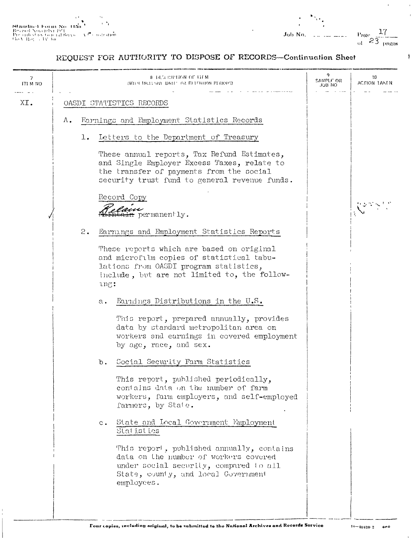$\begin{array}{l} \textbf{Standard Form No-B5} \\ \textbf{Res} \text{ is d No} \text{c} \text{m} \text{b} \text{c} \text{f} \text{M} \text{f} \\ \textbf{Pre c} \text{th} \text{d} \text{c} \text{y} \text{t} \text{t} \text{c} \text{f} \text{d} \text{S} \text{e} \text{y} \text{s} \\ \textbf{Gr} \text{c} \text{th} \text{d} \text{c} \text{y} \text{t} \text{t} \text{c} \text{f} \text{d} \text{S} \text{e} \text{y} \text{s} \\ \textbf{Gs$  $\sim 2$  $\sqrt{\epsilon^2}$  contration  $\mathbf{r}$ 

 $\mathbf{r}$ 

# REQUEST FOR AUTHORITY TO DISPOSE OF RECORDS-Continuation Sheet

| 7<br>ITI M NO |    |    | 8 DECEMBRICAN OF BEM<br>(WITH INCLUSIVE DATE: OR RETENTION PERIODS)                                                                                                                      | 9<br>SAMPLE OR<br>JOB NO. | 10<br>ACTION TAKEN |
|---------------|----|----|------------------------------------------------------------------------------------------------------------------------------------------------------------------------------------------|---------------------------|--------------------|
| XI.           |    |    | OASDI STATISTICS RECORDS                                                                                                                                                                 |                           |                    |
|               | Λ. |    | Earnings and Employment Statistics Records                                                                                                                                               |                           |                    |
|               |    | l. | Letters to the Department of Treasury                                                                                                                                                    |                           |                    |
|               |    |    | These annual reports, Tax Refund Estimates,<br>and Single Employer Excess Taxes, relate to<br>the transfer of payments from the social<br>security trust fund to general revenue funds.  |                           |                    |
|               |    |    | Record Copy                                                                                                                                                                              |                           |                    |
|               |    |    | <del>r</del> permanently.                                                                                                                                                                |                           |                    |
|               |    | 2. | Earnings and Employment Statistics Reports                                                                                                                                               |                           |                    |
|               |    |    | These reports which are based on original<br>and microfilm copies of statistical tabu-<br>lations from OASDI program statistics,<br>include, but are not limited to, the follow-<br>ung: |                           |                    |
|               |    |    | Earnings Distributions in the U.S.<br>$\mathbf{a}$ .                                                                                                                                     |                           |                    |
|               |    |    | This report, prepared annually, provides<br>data by standard metropolitan area on<br>workers and earnings in covered employment<br>by age, race, and sex.                                |                           |                    |
|               |    |    | Social Security Farm Statistics<br>$\mathbf b$ .                                                                                                                                         |                           |                    |
|               |    |    | This report, published periodically,<br>contains data on the number of farm<br>workers, farm employers, and self-employed<br>farmers, by State.                                          |                           |                    |
|               |    |    | State and Local Government Employment<br>$c$ .<br>Statistics                                                                                                                             |                           |                    |
|               |    |    | This report, published annually, contains<br>data on the number of workers covered<br>under social security, compared to all<br>State, county, and local Government<br>employees.        |                           |                    |
|               |    |    |                                                                                                                                                                                          |                           |                    |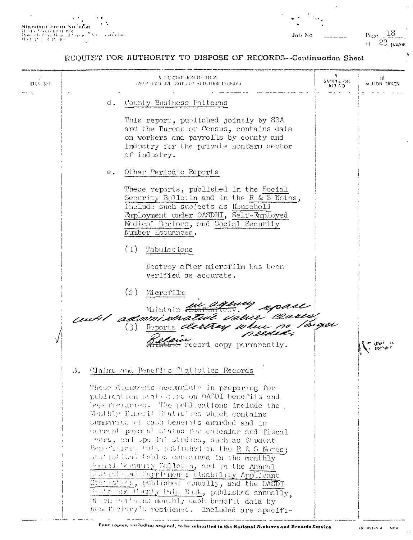Job No.

 $\ddot{\phantom{a}}$ 

 $\overline{a}$ 

Page  $\frac{18}{\omega}$   $\frac{23}{52}$  pages

 $\alpha^{\dagger}$ 

 $\mathbf{u}_i$ 

# REQUUST FOR AUTHORITY TO DISPOSE OF RECORDS--Continuation Sheet

| ほしゅ につ |               | <b>8 PL'CRIPHON OF HEM</b><br>AVILLE INCLUDIVE DATES ON BUJLION PENNOLY                                                                                                                                                                                                                                                                                                                                                                                                                                                                                                                                                                                                                                                                                                                | 4<br>SAMPLE OR<br>OH BUL | 10<br>ALLION TAKEN |
|--------|---------------|----------------------------------------------------------------------------------------------------------------------------------------------------------------------------------------------------------------------------------------------------------------------------------------------------------------------------------------------------------------------------------------------------------------------------------------------------------------------------------------------------------------------------------------------------------------------------------------------------------------------------------------------------------------------------------------------------------------------------------------------------------------------------------------|--------------------------|--------------------|
|        | d.            | County Business Patterns<br>This report, published jointly by SSA<br>and the Bureau of Census, contains data<br>on workers and payrolls by county and<br>industry for the private nonfarm sector<br>of industry.                                                                                                                                                                                                                                                                                                                                                                                                                                                                                                                                                                       |                          |                    |
|        | $e_{\bullet}$ | Other Periodic Reports<br>These reports, published in the Social<br>Security Bulletin and in the R & S Notes,<br>include such subjects as Household<br>Employment under OASDHI, Self-Employed<br>Medical Doctors, and Social Security<br>Number Issuances.<br>(1)<br>Tabulations                                                                                                                                                                                                                                                                                                                                                                                                                                                                                                       |                          |                    |
|        |               | Destroy after microfilm has been<br>verified as accurate.<br>(2)<br>Microfilm<br>until administrative value classes<br>f record copy permanently.                                                                                                                                                                                                                                                                                                                                                                                                                                                                                                                                                                                                                                      |                          |                    |
|        | В.            | Claims and Benefits Statistics Records<br>These documents accumulate in preparing for<br>publication atate area on OACDI benefits and<br>here the carries. The publications include the<br>Mailily Binerit Statistics which contains<br>summanics of cash benefits awarded and in<br>current payment status for entendar and fiscal<br>ears, and special studies, such as Student<br>Beneficiar. But published in the R & S Notes;<br>statisfied tebles concained in the monthly<br>Sec. al Tesurity Bolletin, and in the Annual<br>beatled cal Supplemene; Disability Applicant<br>States' as, published cumually, and the OASDI<br>We see and County Pats Book, published annually,<br>which earliest monthly cash benefit data by<br>beneficiony's residence. Included are specifi- |                          |                    |

 $\bar{\alpha}$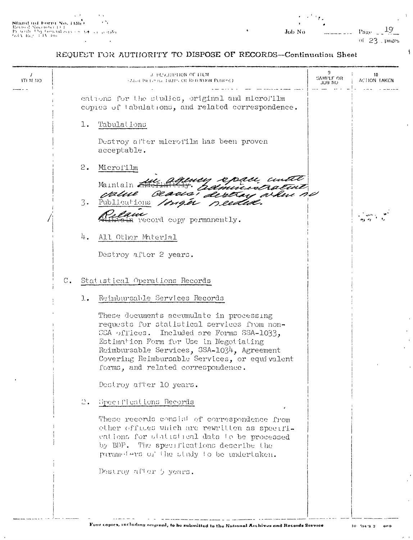$\hat{L}$ 

 $\overline{\mathbf{A}}$ 

REQUEST FOR AUTHORITY TO DISPOSE OF RECORDS-Continuation Sheet

| ITI M NO |       | 3 DESCRIPTION OF THEM<br><b>CALCE BRICHTS DATES OR RED MIDDE PERIOLE)</b>                                                                                                                                                                                                                                           | 9.<br>SAMPLE OR<br>JOB NO | 10<br>ACTION TAKEN |
|----------|-------|---------------------------------------------------------------------------------------------------------------------------------------------------------------------------------------------------------------------------------------------------------------------------------------------------------------------|---------------------------|--------------------|
|          |       | eations for the studies, original and microfilm<br>copies of tabulations, and related correspondence.                                                                                                                                                                                                               |                           |                    |
|          |       | Tabulations<br>l.                                                                                                                                                                                                                                                                                                   |                           |                    |
|          |       | Destroy after microfilm has been proven<br>acceptable.                                                                                                                                                                                                                                                              |                           |                    |
|          |       | 2.<br>Microfilm                                                                                                                                                                                                                                                                                                     |                           |                    |
|          |       | ny spasi cuitt<br>administratut<br>' dertrai ardin n <i>o</i><br>Maintain.<br>value                                                                                                                                                                                                                                 |                           |                    |
|          |       | $3 -$<br>Publications<br>needed.<br>nger                                                                                                                                                                                                                                                                            |                           |                    |
|          |       | record copy permanently.                                                                                                                                                                                                                                                                                            |                           |                    |
|          |       | 4.<br>All Other Material                                                                                                                                                                                                                                                                                            |                           |                    |
|          |       | Destroy after 2 years.                                                                                                                                                                                                                                                                                              |                           |                    |
|          | $C$ . | Statistical Operations Records                                                                                                                                                                                                                                                                                      |                           |                    |
|          |       | Reimbursable Services Records<br>$l$ .                                                                                                                                                                                                                                                                              |                           |                    |
|          |       | These documents accumulate in processing<br>requests for statistical services from non-<br>SSA offices. Included are Forms SSA-1033,<br>Estimation Form for Use in Negotialing<br>Reimbursable Services, SSA-1034, Agreement<br>Covering Reimbursable Services, or equivalent<br>forms, and related correspondence. |                           |                    |
|          |       | Destroy after 10 years.                                                                                                                                                                                                                                                                                             |                           |                    |
|          |       | Specifications Records<br>$\mathbb{C}$ .                                                                                                                                                                                                                                                                            |                           |                    |
|          |       | These records consist of correspondence from<br>other offices which are rewritten as specifi-<br>eations for statistical data to be processed<br>by BDP. The specifications describe the<br>parameters of the study to be undertaken.                                                                               |                           |                    |
|          |       | Destroy after 5 years.                                                                                                                                                                                                                                                                                              |                           |                    |
|          |       |                                                                                                                                                                                                                                                                                                                     |                           |                    |

<u>.</u><br>1980 - Jan Berlin

 $\bar{1}$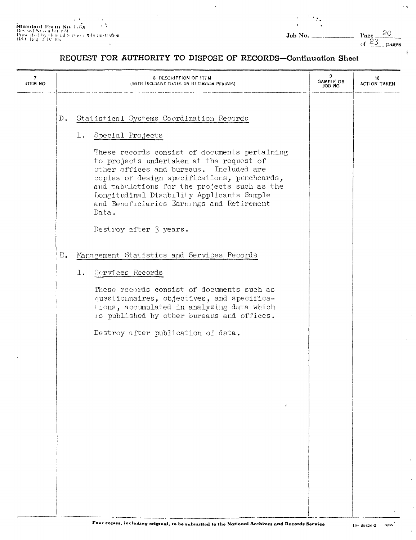$\mathbf{u}$ 

 $\mathbf{A}=\mathbf{0}$ 

 $\overline{r}$  is

ł

# REQUEST FOR AUTHORITY TO DISPOSE OF RECORDS-Continuation Sheet

| Statistical Systems Coordination Records<br>D.<br>Special Projects<br>$1$ .<br>These records consist of documents pertaining<br>to projects undertaken at the request of<br>other offices and bureaus. Included are<br>copies of design specifications, punchcards,<br>and tabulations for the projects such as the<br>Longitudinal Disability Applicants Sample<br>and Beneficiaries Earnings and Retirement<br>Data.<br>Destroy after 3 years.<br>Management Statistics and Services Records<br>Ε.<br>Services Records<br>ı.<br>These records consist of documents such as<br>questionnaires, objectives, and specifica-<br>tions, accumulated in analyzing data which<br>is published by other bureaus and offices.<br>Destroy after publication of data. | 7<br><b>ITEM NO</b> | 8 DESCRIPTION OF ITEM<br>(WITH INCLUSIVE DATES OR RETENTION PERIODS) |  | 9<br>SAMPLE OR<br>JOB NO | 10<br><b>ACTION TAKEN</b> |
|--------------------------------------------------------------------------------------------------------------------------------------------------------------------------------------------------------------------------------------------------------------------------------------------------------------------------------------------------------------------------------------------------------------------------------------------------------------------------------------------------------------------------------------------------------------------------------------------------------------------------------------------------------------------------------------------------------------------------------------------------------------|---------------------|----------------------------------------------------------------------|--|--------------------------|---------------------------|
|                                                                                                                                                                                                                                                                                                                                                                                                                                                                                                                                                                                                                                                                                                                                                              |                     |                                                                      |  |                          |                           |
|                                                                                                                                                                                                                                                                                                                                                                                                                                                                                                                                                                                                                                                                                                                                                              |                     |                                                                      |  |                          |                           |
|                                                                                                                                                                                                                                                                                                                                                                                                                                                                                                                                                                                                                                                                                                                                                              |                     |                                                                      |  |                          |                           |
|                                                                                                                                                                                                                                                                                                                                                                                                                                                                                                                                                                                                                                                                                                                                                              |                     |                                                                      |  |                          |                           |
|                                                                                                                                                                                                                                                                                                                                                                                                                                                                                                                                                                                                                                                                                                                                                              |                     |                                                                      |  |                          |                           |
|                                                                                                                                                                                                                                                                                                                                                                                                                                                                                                                                                                                                                                                                                                                                                              |                     |                                                                      |  |                          |                           |
|                                                                                                                                                                                                                                                                                                                                                                                                                                                                                                                                                                                                                                                                                                                                                              |                     |                                                                      |  |                          |                           |
|                                                                                                                                                                                                                                                                                                                                                                                                                                                                                                                                                                                                                                                                                                                                                              |                     |                                                                      |  |                          |                           |
|                                                                                                                                                                                                                                                                                                                                                                                                                                                                                                                                                                                                                                                                                                                                                              |                     |                                                                      |  |                          |                           |
|                                                                                                                                                                                                                                                                                                                                                                                                                                                                                                                                                                                                                                                                                                                                                              |                     |                                                                      |  |                          |                           |
|                                                                                                                                                                                                                                                                                                                                                                                                                                                                                                                                                                                                                                                                                                                                                              |                     |                                                                      |  |                          |                           |
|                                                                                                                                                                                                                                                                                                                                                                                                                                                                                                                                                                                                                                                                                                                                                              |                     |                                                                      |  |                          |                           |
|                                                                                                                                                                                                                                                                                                                                                                                                                                                                                                                                                                                                                                                                                                                                                              |                     |                                                                      |  |                          |                           |
|                                                                                                                                                                                                                                                                                                                                                                                                                                                                                                                                                                                                                                                                                                                                                              |                     |                                                                      |  |                          |                           |
|                                                                                                                                                                                                                                                                                                                                                                                                                                                                                                                                                                                                                                                                                                                                                              |                     |                                                                      |  |                          |                           |
|                                                                                                                                                                                                                                                                                                                                                                                                                                                                                                                                                                                                                                                                                                                                                              |                     |                                                                      |  |                          |                           |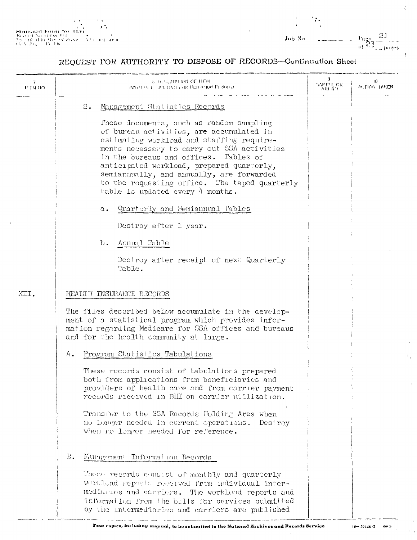$\frac{1}{2}$  $\begin{array}{l} \textbf{Stancaard Fonn No.} \textbf{1} \textbf{1} \\ \textbf{Ro} \textbf{3} \textbf{3} \textbf{4} \textbf{8} \textbf{5} \textbf{6} \textbf{7} \textbf{8} \textbf{9} \textbf{7} \textbf{1} \\ \textbf{I} \textbf{5} \textbf{5} \textbf{3} \textbf{1} \textbf{4} \textbf{1} \textbf{8} \textbf{7} \textbf{6} \textbf{9} \textbf{9} \textbf{1} \\ \textbf{J} \textbf{5} \textbf{5} \textbf{3} \textbf{1} \textbf{1$ it tasi n<br>Albertstration

 $\begin{array}{l} \text{Page} \quad \underset{\text{of}}{\underbrace{21}} \\ \text{of} \quad \underset{\text{of}}{\underbrace{23}} \\ \end{array}$  $\overline{\phantom{a}}$  $\mathbf{Job}$ No

 $\vec{\zeta}$ 

### REQUEST FOR AUTHORITY TO DISPOSE OF RECORDS-Continuation Sheet

| <b>ITEM NO</b> | <b>5 DESCRIPTION OF HEM</b><br>IWITH THE THUNK DATES OR RETERITOR PERMISSE                                                                                                                                                                                                                                                                                                                               | 9<br>SAMPLE OR .<br>SAMPLE OR | 19<br>ALTION TAKEN |
|----------------|----------------------------------------------------------------------------------------------------------------------------------------------------------------------------------------------------------------------------------------------------------------------------------------------------------------------------------------------------------------------------------------------------------|-------------------------------|--------------------|
|                | 2.<br>Management Statistics Records                                                                                                                                                                                                                                                                                                                                                                      |                               |                    |
|                | These documents, such as random sampling<br>of bureau activities, are accumulated in<br>estimating workload and staffing require-<br>ments necessary to carry out SCA activities<br>in the bureaus and offices. Tables of<br>anticipated workload, prepared quarterly,<br>semiannually, and annually, are forwarded<br>to the requesting office. The taped quarterly<br>table is updated every 4 months. |                               |                    |
|                | Quarterly and Semiannual Tables<br>$\mathfrak{a}$ .                                                                                                                                                                                                                                                                                                                                                      |                               |                    |
|                | Destroy after 1 year.                                                                                                                                                                                                                                                                                                                                                                                    |                               |                    |
|                | Annual Table<br>Ъ.                                                                                                                                                                                                                                                                                                                                                                                       |                               |                    |
|                | Destroy after receipt of next Quarterly<br>Table.                                                                                                                                                                                                                                                                                                                                                        |                               |                    |
| XII.           | HEALTH INSURANCE RECORDS                                                                                                                                                                                                                                                                                                                                                                                 |                               |                    |
|                | The files described below accumulate in the develop-<br>ment of a statistical program which provides infor-<br>mation regarding Medicare for SSA offices and bureaus<br>and for the health community at large.                                                                                                                                                                                           |                               |                    |
|                | Program Statistics Tabulations<br>А.                                                                                                                                                                                                                                                                                                                                                                     |                               |                    |
|                | These records consist of tabulations prepared<br>both from applications from beneficiaries and<br>providers of health care and from carrier payment<br>records received in BHI on carrier utilization.                                                                                                                                                                                                   |                               |                    |
|                | Transfer to the SSA Records Holding Area when<br>no longer needed in current operations.<br>Deslroy<br>when no longer needed for reference.                                                                                                                                                                                                                                                              |                               |                    |
|                | Mungement Information Records<br>Β.                                                                                                                                                                                                                                                                                                                                                                      |                               |                    |
|                | These records consist of monthly and quarterly<br>Workload reports received from undividual inter-<br>mediaries and carriers. The workload reports and<br>information from the bills for services submitted<br>by the intermediaries and carriers are published                                                                                                                                          |                               |                    |

ï

 $16 - 50428 - 2$  $0<sub>0</sub>$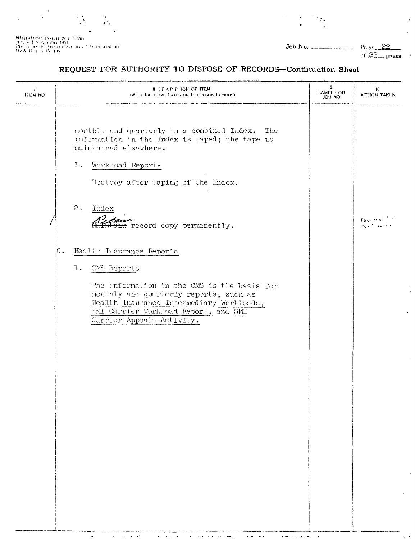υŃ,

 $\begin{array}{l} \textbf{Standard Form No-115b} \\ \textbf{flow of A} \\ \textbf{Pre or } \text{tachb, to } \text{neab} \textbf{S} \\ \textbf{Pre.} \\ \textbf{GSA-B} \in \{-11\} \textbf{Mo} \end{array} \begin{array}{l} \textbf{N0-115b} \\ \textbf{S1-0} \\ \textbf{S2-1} \\ \textbf{S3-1} \end{array}$ 

 $Job No.$ 

 $\mathcal{M}_{\bullet}$ 

Page 22  $\overline{a}$ of  $23$  pages

l.

 $\overline{a}$ 

 $\mathcal{L}$ 

 $\ddot{\phantom{a}}$ 

#### REQUEST FOR AUTHORITY TO DISPOSE OF RECORDS-Continuation Sheet

| $\mathcal{F}$<br><b>ITEM NO</b> | <b>8 DESCRIPTION OF ITEM</b><br>(WITH INCLUDIVE DATES OR RETENTION PERIODS).                                                                                                                                                                            | 9<br>SAMPLE OR | 10<br><b>ACTION TAKEN</b>                                                           |
|---------------------------------|---------------------------------------------------------------------------------------------------------------------------------------------------------------------------------------------------------------------------------------------------------|----------------|-------------------------------------------------------------------------------------|
|                                 | monthly and quarterly in a combined Index.<br>The<br>unformation in the Index is taped; the tape is<br>maintained elsewhere.<br>$1$ .<br>Workload Reports<br>Destroy after taping of the Index.                                                         |                |                                                                                     |
|                                 | 2.<br>Index<br><del>n</del> record copy permanently.                                                                                                                                                                                                    |                | $\mathrm{Eig}_2 \in \mathcal{O}(8 \epsilon^{-3})^{-1}$<br>$\sqrt{2}$ and $\sqrt{2}$ |
| $\mathbb{C}$ .                  | Health Insurance Reports<br>1.<br>CMS Reports<br>The information in the CMS is the basis for<br>monthly and quarterly reports, such as<br>Health Insurance Intermediary Workloads,<br>SMI Carrier Workload Report, and SMI<br>Carrier Appeals Activity. |                |                                                                                     |
|                                 |                                                                                                                                                                                                                                                         |                |                                                                                     |

<u>The Barbara</u>

 $\sim$   $\sim$  $\langle\bullet\,\bullet\rangle$   $\sqrt{m}$  .  $\sim$ 

 $\hat{\mathbf{a}} = \hat{\mathbf{a}}$  $\ddot{\phantom{0}}$ 

 $\mathbf{v} = \mathbf{v} + \mathbf{v}$  , we

 $\sigma_{\rm{eff}}$  , and  $\sigma_{\rm{eff}}$ 

 $\bar{\mathbf{z}}$ 

 $\blacksquare$